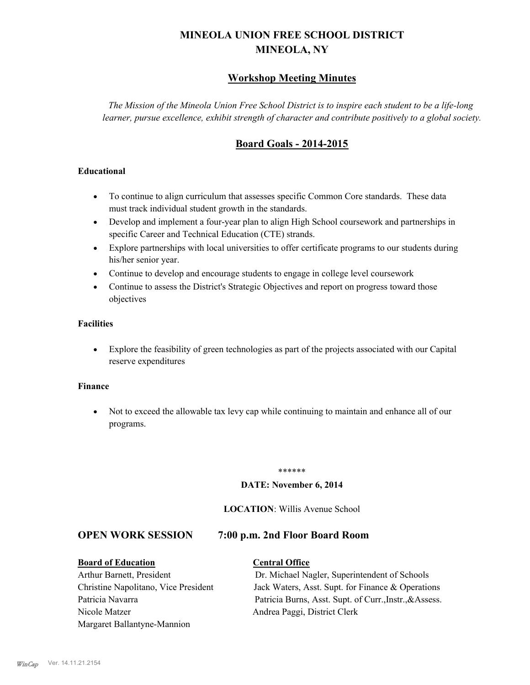## **MINEOLA UNION FREE SCHOOL DISTRICT MINEOLA, NY**

#### **Workshop Meeting Minutes**

*The Mission of the Mineola Union Free School District is to inspire each student to be a life-long learner, pursue excellence, exhibit strength of character and contribute positively to a global society.*

### **Board Goals - 2014-2015**

#### **Educational**

- · To continue to align curriculum that assesses specific Common Core standards. These data must track individual student growth in the standards.
- · Develop and implement a four-year plan to align High School coursework and partnerships in specific Career and Technical Education (CTE) strands.
- · Explore partnerships with local universities to offer certificate programs to our students during his/her senior year.
- · Continue to develop and encourage students to engage in college level coursework
- Continue to assess the District's Strategic Objectives and report on progress toward those objectives

#### **Facilities**

· Explore the feasibility of green technologies as part of the projects associated with our Capital reserve expenditures

#### **Finance**

· Not to exceed the allowable tax levy cap while continuing to maintain and enhance all of our programs.

#### \*\*\*\*\*\*

#### **DATE: November 6, 2014**

#### **LOCATION**: Willis Avenue School

#### **OPEN WORK SESSION 7:00 p.m. 2nd Floor Board Room**

#### **Board of Education Central Office**

# Nicole Matzer Andrea Paggi, District Clerk Margaret Ballantyne-Mannion

Arthur Barnett, President Dr. Michael Nagler, Superintendent of Schools Christine Napolitano, Vice President Jack Waters, Asst. Supt. for Finance & Operations Patricia Navarra Patricia Burns, Asst. Supt. of Curr., Instr., & Assess.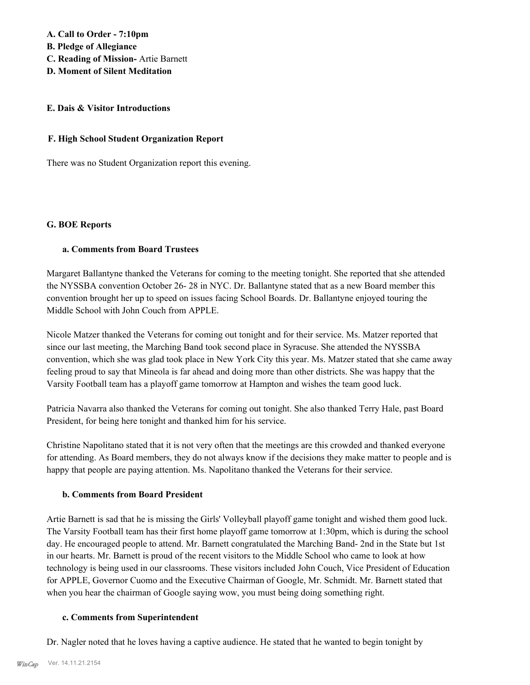#### **A. Call to Order - 7:10pm**

**B. Pledge of Allegiance**

- **C. Reading of Mission-** Artie Barnett
- **D. Moment of Silent Meditation**

#### **E. Dais & Visitor Introductions**

#### **F. High School Student Organization Report**

There was no Student Organization report this evening.

#### **G. BOE Reports**

#### **a. Comments from Board Trustees**

Margaret Ballantyne thanked the Veterans for coming to the meeting tonight. She reported that she attended the NYSSBA convention October 26- 28 in NYC. Dr. Ballantyne stated that as a new Board member this convention brought her up to speed on issues facing School Boards. Dr. Ballantyne enjoyed touring the Middle School with John Couch from APPLE.

Nicole Matzer thanked the Veterans for coming out tonight and for their service. Ms. Matzer reported that since our last meeting, the Marching Band took second place in Syracuse. She attended the NYSSBA convention, which she was glad took place in New York City this year. Ms. Matzer stated that she came away feeling proud to say that Mineola is far ahead and doing more than other districts. She was happy that the Varsity Football team has a playoff game tomorrow at Hampton and wishes the team good luck.

Patricia Navarra also thanked the Veterans for coming out tonight. She also thanked Terry Hale, past Board President, for being here tonight and thanked him for his service.

Christine Napolitano stated that it is not very often that the meetings are this crowded and thanked everyone for attending. As Board members, they do not always know if the decisions they make matter to people and is happy that people are paying attention. Ms. Napolitano thanked the Veterans for their service.

#### **b. Comments from Board President**

Artie Barnett is sad that he is missing the Girls' Volleyball playoff game tonight and wished them good luck. The Varsity Football team has their first home playoff game tomorrow at 1:30pm, which is during the school day. He encouraged people to attend. Mr. Barnett congratulated the Marching Band- 2nd in the State but 1st in our hearts. Mr. Barnett is proud of the recent visitors to the Middle School who came to look at how technology is being used in our classrooms. These visitors included John Couch, Vice President of Education for APPLE, Governor Cuomo and the Executive Chairman of Google, Mr. Schmidt. Mr. Barnett stated that when you hear the chairman of Google saying wow, you must being doing something right.

#### **c. Comments from Superintendent**

Dr. Nagler noted that he loves having a captive audience. He stated that he wanted to begin tonight by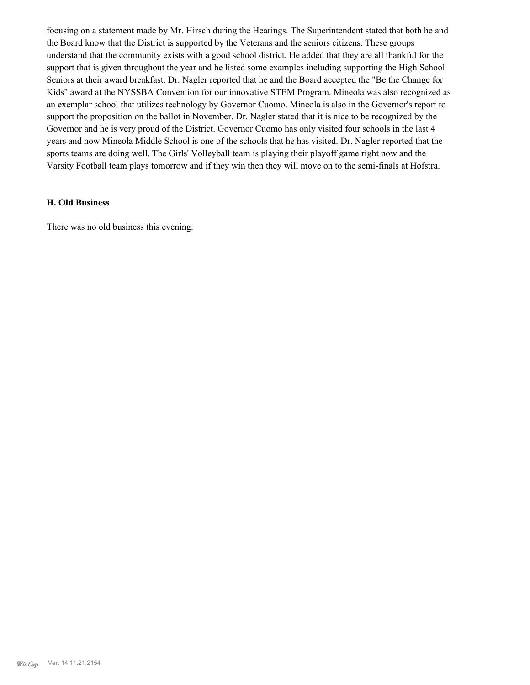focusing on a statement made by Mr. Hirsch during the Hearings. The Superintendent stated that both he and the Board know that the District is supported by the Veterans and the seniors citizens. These groups understand that the community exists with a good school district. He added that they are all thankful for the support that is given throughout the year and he listed some examples including supporting the High School Seniors at their award breakfast. Dr. Nagler reported that he and the Board accepted the "Be the Change for Kids" award at the NYSSBA Convention for our innovative STEM Program. Mineola was also recognized as an exemplar school that utilizes technology by Governor Cuomo. Mineola is also in the Governor's report to support the proposition on the ballot in November. Dr. Nagler stated that it is nice to be recognized by the Governor and he is very proud of the District. Governor Cuomo has only visited four schools in the last 4 years and now Mineola Middle School is one of the schools that he has visited. Dr. Nagler reported that the sports teams are doing well. The Girls' Volleyball team is playing their playoff game right now and the Varsity Football team plays tomorrow and if they win then they will move on to the semi-finals at Hofstra.

#### **H. Old Business**

There was no old business this evening.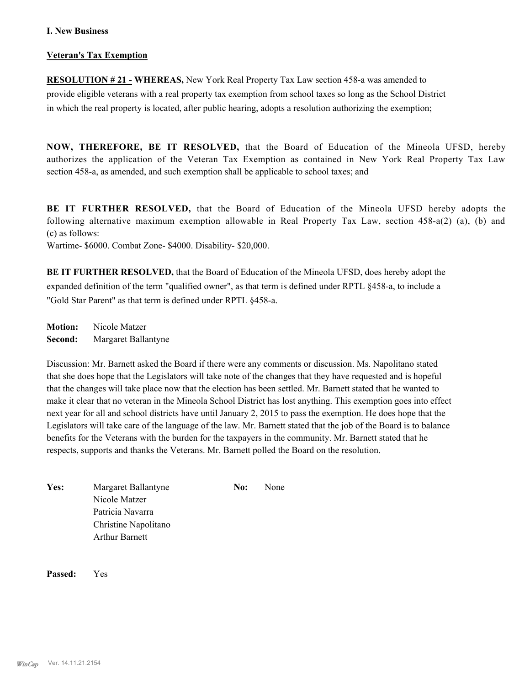#### **I. New Business**

#### **Veteran's Tax Exemption**

**RESOLUTION # 21 - WHEREAS,** New York Real Property Tax Law section 458-a was amended to provide eligible veterans with a real property tax exemption from school taxes so long as the School District in which the real property is located, after public hearing, adopts a resolution authorizing the exemption;

**NOW, THEREFORE, BE IT RESOLVED,** that the Board of Education of the Mineola UFSD, hereby authorizes the application of the Veteran Tax Exemption as contained in New York Real Property Tax Law section 458-a, as amended, and such exemption shall be applicable to school taxes; and

**BE IT FURTHER RESOLVED,** that the Board of Education of the Mineola UFSD hereby adopts the following alternative maximum exemption allowable in Real Property Tax Law, section 458-a(2) (a), (b) and (c) as follows:

Wartime- \$6000. Combat Zone- \$4000. Disability- \$20,000.

**BE IT FURTHER RESOLVED,** that the Board of Education of the Mineola UFSD, does hereby adopt the expanded definition of the term "qualified owner", as that term is defined under RPTL §458-a, to include a "Gold Star Parent" as that term is defined under RPTL §458-a.

**Motion:** Nicole Matzer **Second:** Margaret Ballantyne

Discussion: Mr. Barnett asked the Board if there were any comments or discussion. Ms. Napolitano stated that she does hope that the Legislators will take note of the changes that they have requested and is hopeful that the changes will take place now that the election has been settled. Mr. Barnett stated that he wanted to make it clear that no veteran in the Mineola School District has lost anything. This exemption goes into effect next year for all and school districts have until January 2, 2015 to pass the exemption. He does hope that the Legislators will take care of the language of the law. Mr. Barnett stated that the job of the Board is to balance benefits for the Veterans with the burden for the taxpayers in the community. Mr. Barnett stated that he respects, supports and thanks the Veterans. Mr. Barnett polled the Board on the resolution.

Yes: Margaret Ballantyne **No:** None Nicole Matzer Patricia Navarra Christine Napolitano Arthur Barnett

**Passed:** Yes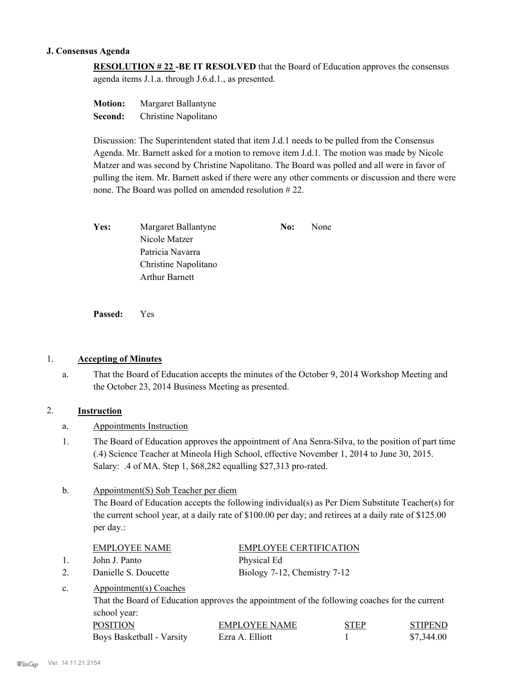#### **J. Consensus Agenda**

**RESOLUTION # 22 -BE IT RESOLVED** that the Board of Education approves the consensus agenda items J.1.a. through J.6.d.1., as presented.

**Motion:** Margaret Ballantyne **Second:** Christine Napolitano

Discussion: The Superintendent stated that item J.d.1 needs to be pulled from the Consensus Agenda. Mr. Barnett asked for a motion to remove item J.d.1. The motion was made by Nicole Matzer and was second by Christine Napolitano. The Board was polled and all were in favor of pulling the item. Mr. Barnett asked if there were any other comments or discussion and there were none. The Board was polled on amended resolution # 22.

| Yes: | Margaret Ballantyne   | No: | None |
|------|-----------------------|-----|------|
|      | Nicole Matzer         |     |      |
|      | Patricia Navarra      |     |      |
|      | Christine Napolitano  |     |      |
|      | <b>Arthur Barnett</b> |     |      |

**Passed:** Yes

#### 1. **Accepting of Minutes**

That the Board of Education accepts the minutes of the October 9, 2014 Workshop Meeting and the October 23, 2014 Business Meeting as presented. a.

#### 2. **Instruction**

- a. Appointments Instruction
- The Board of Education approves the appointment of Ana Senra-Silva, to the position of part time (.4) Science Teacher at Mineola High School, effective November 1, 2014 to June 30, 2015. Salary: .4 of MA. Step 1, \$68,282 equalling \$27,313 pro-rated. 1.

#### Appointment(S) Sub Teacher per diem b.

The Board of Education accepts the following individual(s) as Per Diem Substitute Teacher(s) for the current school year, at a daily rate of \$100.00 per day; and retirees at a daily rate of \$125.00 per day.:

|              | EMPLOYEE NAME          | <b>EMPLOYEE CERTIFICATION</b> |
|--------------|------------------------|-------------------------------|
| $\mathbf{1}$ | John J. Panto          | Physical Ed                   |
|              | Danielle S. Doucette   | Biology 7-12, Chemistry 7-12  |
| $c_{\cdot}$  | Appointment(s) Coaches |                               |

That the Board of Education approves the appointment of the following coaches for the current school year:

| <b>POSITION</b>           | <b>EMPLOYEE NAME</b> | <b>STEP</b> | <b>STIPEND</b> |
|---------------------------|----------------------|-------------|----------------|
| Boys Basketball - Varsity | Ezra A. Elliott      |             | \$7,344.00     |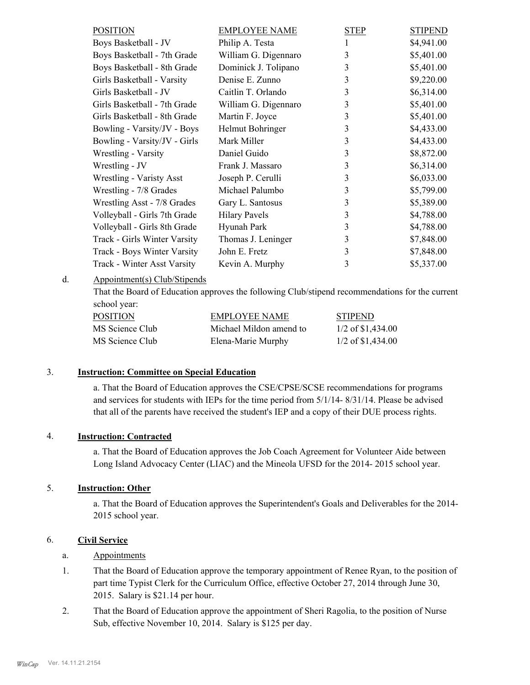| <b>POSITION</b>              | <b>EMPLOYEE NAME</b> | <b>STEP</b> | <b>STIPEND</b> |
|------------------------------|----------------------|-------------|----------------|
| Boys Basketball - JV         | Philip A. Testa      | 1           | \$4,941.00     |
| Boys Basketball - 7th Grade  | William G. Digennaro | 3           | \$5,401.00     |
| Boys Basketball - 8th Grade  | Dominick J. Tolipano | 3           | \$5,401.00     |
| Girls Basketball - Varsity   | Denise E. Zunno      | 3           | \$9,220.00     |
| Girls Basketball - JV        | Caitlin T. Orlando   | 3           | \$6,314.00     |
| Girls Basketball - 7th Grade | William G. Digennaro | 3           | \$5,401.00     |
| Girls Basketball - 8th Grade | Martin F. Joyce      | 3           | \$5,401.00     |
| Bowling - Varsity/JV - Boys  | Helmut Bohringer     | 3           | \$4,433.00     |
| Bowling - Varsity/JV - Girls | Mark Miller          | 3           | \$4,433.00     |
| Wrestling - Varsity          | Daniel Guido         | 3           | \$8,872.00     |
| Wrestling - JV               | Frank J. Massaro     | 3           | \$6,314.00     |
| Wrestling - Varisty Asst     | Joseph P. Cerulli    | 3           | \$6,033.00     |
| Wrestling - 7/8 Grades       | Michael Palumbo      | 3           | \$5,799.00     |
| Wrestling Asst - 7/8 Grades  | Gary L. Santosus     | 3           | \$5,389.00     |
| Volleyball - Girls 7th Grade | <b>Hilary Pavels</b> | 3           | \$4,788.00     |
| Volleyball - Girls 8th Grade | Hyunah Park          | 3           | \$4,788.00     |
| Track - Girls Winter Varsity | Thomas J. Leninger   | 3           | \$7,848.00     |
| Track - Boys Winter Varsity  | John E. Fretz        | 3           | \$7,848.00     |
| Track - Winter Asst Varsity  | Kevin A. Murphy      | 3           | \$5,337.00     |

Appointment(s) Club/Stipends d.

> That the Board of Education approves the following Club/stipend recommendations for the current school year:

| POSITION        | EMPLOYEE NAME           | <b>STIPEND</b>      |
|-----------------|-------------------------|---------------------|
| MS Science Club | Michael Mildon amend to | $1/2$ of \$1,434.00 |
| MS Science Club | Elena-Marie Murphy      | $1/2$ of \$1,434.00 |

#### 3. **Instruction: Committee on Special Education**

a. That the Board of Education approves the CSE/CPSE/SCSE recommendations for programs and services for students with IEPs for the time period from 5/1/14- 8/31/14. Please be advised that all of the parents have received the student's IEP and a copy of their DUE process rights.

#### 4. **Instruction: Contracted**

a. That the Board of Education approves the Job Coach Agreement for Volunteer Aide between Long Island Advocacy Center (LIAC) and the Mineola UFSD for the 2014- 2015 school year.

#### 5. **Instruction: Other**

a. That the Board of Education approves the Superintendent's Goals and Deliverables for the 2014- 2015 school year.

#### 6. **Civil Service**

#### a. Appointments

- That the Board of Education approve the temporary appointment of Renee Ryan, to the position of part time Typist Clerk for the Curriculum Office, effective October 27, 2014 through June 30, 2015. Salary is \$21.14 per hour. 1.
- That the Board of Education approve the appointment of Sheri Ragolia, to the position of Nurse Sub, effective November 10, 2014. Salary is \$125 per day. 2.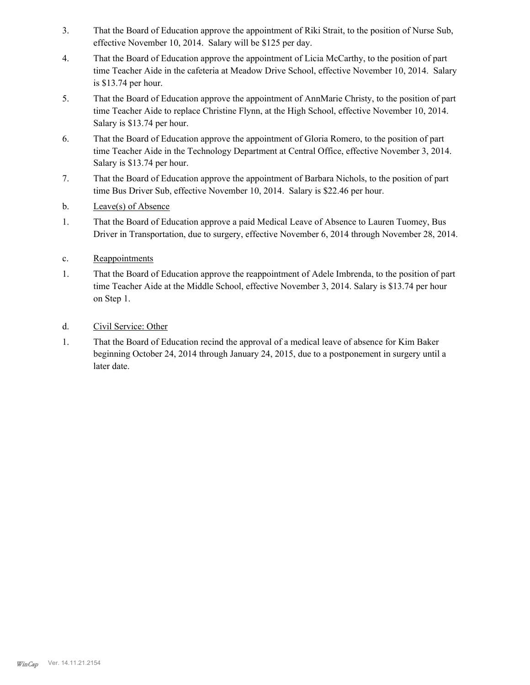- That the Board of Education approve the appointment of Riki Strait, to the position of Nurse Sub, effective November 10, 2014. Salary will be \$125 per day. 3.
- That the Board of Education approve the appointment of Licia McCarthy, to the position of part time Teacher Aide in the cafeteria at Meadow Drive School, effective November 10, 2014. Salary is \$13.74 per hour. 4.
- That the Board of Education approve the appointment of AnnMarie Christy, to the position of part time Teacher Aide to replace Christine Flynn, at the High School, effective November 10, 2014. Salary is \$13.74 per hour. 5.
- That the Board of Education approve the appointment of Gloria Romero, to the position of part time Teacher Aide in the Technology Department at Central Office, effective November 3, 2014. Salary is \$13.74 per hour. 6.
- That the Board of Education approve the appointment of Barbara Nichols, to the position of part time Bus Driver Sub, effective November 10, 2014. Salary is \$22.46 per hour. 7.
- b. Leave(s) of Absence
- That the Board of Education approve a paid Medical Leave of Absence to Lauren Tuomey, Bus Driver in Transportation, due to surgery, effective November 6, 2014 through November 28, 2014. 1.
- c. Reappointments
- That the Board of Education approve the reappointment of Adele Imbrenda, to the position of part time Teacher Aide at the Middle School, effective November 3, 2014. Salary is \$13.74 per hour on Step 1. 1.
- d. Civil Service: Other
- That the Board of Education recind the approval of a medical leave of absence for Kim Baker beginning October 24, 2014 through January 24, 2015, due to a postponement in surgery until a later date. 1.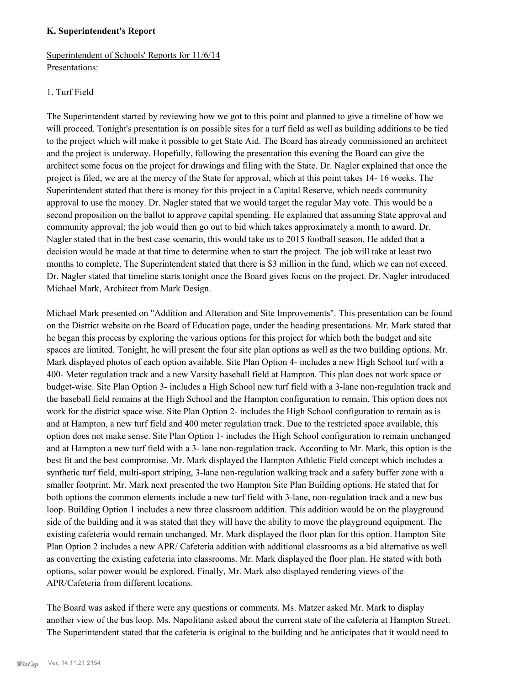#### **K. Superintendent's Report**

### Superintendent of Schools' Reports for 11/6/14 Presentations:

#### 1. Turf Field

The Superintendent started by reviewing how we got to this point and planned to give a timeline of how we will proceed. Tonight's presentation is on possible sites for a turf field as well as building additions to be tied to the project which will make it possible to get State Aid. The Board has already commissioned an architect and the project is underway. Hopefully, following the presentation this evening the Board can give the architect some focus on the project for drawings and filing with the State. Dr. Nagler explained that once the project is filed, we are at the mercy of the State for approval, which at this point takes 14- 16 weeks. The Superintendent stated that there is money for this project in a Capital Reserve, which needs community approval to use the money. Dr. Nagler stated that we would target the regular May vote. This would be a second proposition on the ballot to approve capital spending. He explained that assuming State approval and community approval; the job would then go out to bid which takes approximately a month to award. Dr. Nagler stated that in the best case scenario, this would take us to 2015 football season. He added that a decision would be made at that time to determine when to start the project. The job will take at least two months to complete. The Superintendent stated that there is \$3 million in the fund, which we can not exceed. Dr. Nagler stated that timeline starts tonight once the Board gives focus on the project. Dr. Nagler introduced Michael Mark, Architect from Mark Design.

Michael Mark presented on "Addition and Alteration and Site Improvements". This presentation can be found on the District website on the Board of Education page, under the heading presentations. Mr. Mark stated that he began this process by exploring the various options for this project for which both the budget and site spaces are limited. Tonight, he will present the four site plan options as well as the two building options. Mr. Mark displayed photos of each option available. Site Plan Option 4- includes a new High School turf with a 400- Meter regulation track and a new Varsity baseball field at Hampton. This plan does not work space or budget-wise. Site Plan Option 3- includes a High School new turf field with a 3-lane non-regulation track and the baseball field remains at the High School and the Hampton configuration to remain. This option does not work for the district space wise. Site Plan Option 2- includes the High School configuration to remain as is and at Hampton, a new turf field and 400 meter regulation track. Due to the restricted space available, this option does not make sense. Site Plan Option 1- includes the High School configuration to remain unchanged and at Hampton a new turf field with a 3- lane non-regulation track. According to Mr. Mark, this option is the best fit and the best compromise. Mr. Mark displayed the Hampton Athletic Field concept which includes a synthetic turf field, multi-sport striping, 3-lane non-regulation walking track and a safety buffer zone with a smaller footprint. Mr. Mark next presented the two Hampton Site Plan Building options. He stated that for both options the common elements include a new turf field with 3-lane, non-regulation track and a new bus loop. Building Option 1 includes a new three classroom addition. This addition would be on the playground side of the building and it was stated that they will have the ability to move the playground equipment. The existing cafeteria would remain unchanged. Mr. Mark displayed the floor plan for this option. Hampton Site Plan Option 2 includes a new APR/ Cafeteria addition with additional classrooms as a bid alternative as well as converting the existing cafeteria into classrooms. Mr. Mark displayed the floor plan. He stated with both options, solar power would be explored. Finally, Mr. Mark also displayed rendering views of the APR/Cafeteria from different locations.

The Board was asked if there were any questions or comments. Ms. Matzer asked Mr. Mark to display another view of the bus loop. Ms. Napolitano asked about the current state of the cafeteria at Hampton Street. The Superintendent stated that the cafeteria is original to the building and he anticipates that it would need to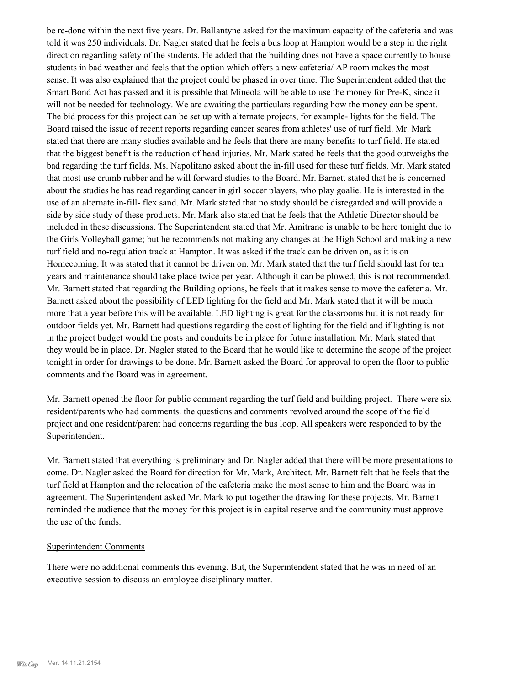be re-done within the next five years. Dr. Ballantyne asked for the maximum capacity of the cafeteria and was told it was 250 individuals. Dr. Nagler stated that he feels a bus loop at Hampton would be a step in the right direction regarding safety of the students. He added that the building does not have a space currently to house students in bad weather and feels that the option which offers a new cafeteria/ AP room makes the most sense. It was also explained that the project could be phased in over time. The Superintendent added that the Smart Bond Act has passed and it is possible that Mineola will be able to use the money for Pre-K, since it will not be needed for technology. We are awaiting the particulars regarding how the money can be spent. The bid process for this project can be set up with alternate projects, for example- lights for the field. The Board raised the issue of recent reports regarding cancer scares from athletes' use of turf field. Mr. Mark stated that there are many studies available and he feels that there are many benefits to turf field. He stated that the biggest benefit is the reduction of head injuries. Mr. Mark stated he feels that the good outweighs the bad regarding the turf fields. Ms. Napolitano asked about the in-fill used for these turf fields. Mr. Mark stated that most use crumb rubber and he will forward studies to the Board. Mr. Barnett stated that he is concerned about the studies he has read regarding cancer in girl soccer players, who play goalie. He is interested in the use of an alternate in-fill- flex sand. Mr. Mark stated that no study should be disregarded and will provide a side by side study of these products. Mr. Mark also stated that he feels that the Athletic Director should be included in these discussions. The Superintendent stated that Mr. Amitrano is unable to be here tonight due to the Girls Volleyball game; but he recommends not making any changes at the High School and making a new turf field and no-regulation track at Hampton. It was asked if the track can be driven on, as it is on Homecoming. It was stated that it cannot be driven on. Mr. Mark stated that the turf field should last for ten years and maintenance should take place twice per year. Although it can be plowed, this is not recommended. Mr. Barnett stated that regarding the Building options, he feels that it makes sense to move the cafeteria. Mr. Barnett asked about the possibility of LED lighting for the field and Mr. Mark stated that it will be much more that a year before this will be available. LED lighting is great for the classrooms but it is not ready for outdoor fields yet. Mr. Barnett had questions regarding the cost of lighting for the field and if lighting is not in the project budget would the posts and conduits be in place for future installation. Mr. Mark stated that they would be in place. Dr. Nagler stated to the Board that he would like to determine the scope of the project tonight in order for drawings to be done. Mr. Barnett asked the Board for approval to open the floor to public comments and the Board was in agreement.

Mr. Barnett opened the floor for public comment regarding the turf field and building project. There were six resident/parents who had comments. the questions and comments revolved around the scope of the field project and one resident/parent had concerns regarding the bus loop. All speakers were responded to by the Superintendent.

Mr. Barnett stated that everything is preliminary and Dr. Nagler added that there will be more presentations to come. Dr. Nagler asked the Board for direction for Mr. Mark, Architect. Mr. Barnett felt that he feels that the turf field at Hampton and the relocation of the cafeteria make the most sense to him and the Board was in agreement. The Superintendent asked Mr. Mark to put together the drawing for these projects. Mr. Barnett reminded the audience that the money for this project is in capital reserve and the community must approve the use of the funds.

#### Superintendent Comments

There were no additional comments this evening. But, the Superintendent stated that he was in need of an executive session to discuss an employee disciplinary matter.